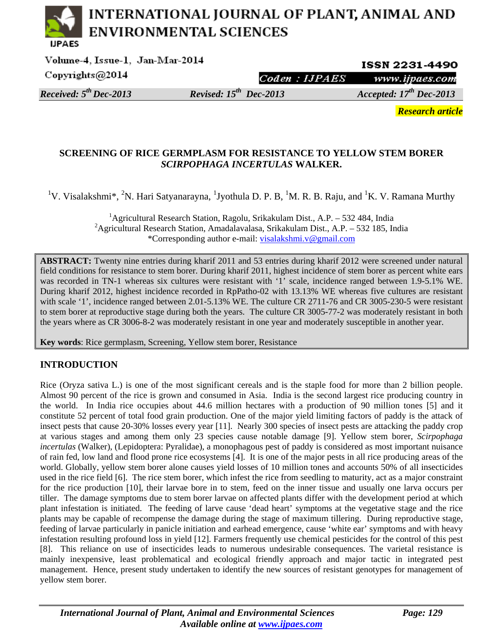# INTERNATIONAL JOURNAL OF PLANT, ANIMAL AND **ENVIRONMENTAL SCIENCES**

Volume-4, Issue-1, Jan-Mar-2014 ISSN 2231-4490 Copyrights@2014 Coden: **HPAES** www.ijpaes.com *Received: 5th Dec-2013 Revised: 15th Dec-2013 Accepted: 17th Dec-2013* 

*Research article* 

## **SCREENING OF RICE GERMPLASM FOR RESISTANCE TO YELLOW STEM BORER**  *SCIRPOPHAGA INCERTULAS* **WALKER.**

<sup>1</sup>V. Visalakshmi\*, <sup>2</sup>N. Hari Satyanarayna, <sup>1</sup>Jyothula D. P. B, <sup>1</sup>M. R. B. Raju, and <sup>1</sup>K. V. Ramana Murthy

<sup>1</sup> Agricultural Research Station, Ragolu, Srikakulam Dist., A.P. - 532 484, India <sup>2</sup> Agricultural Research Station, Amadalavalasa, Srikakulam Dist., A.P. - 532 185, India \*Corresponding author e-mail: visalakshmi.v@gmail.com

**ABSTRACT:** Twenty nine entries during kharif 2011 and 53 entries during kharif 2012 were screened under natural field conditions for resistance to stem borer. During kharif 2011, highest incidence of stem borer as percent white ears was recorded in TN-1 whereas six cultures were resistant with '1' scale, incidence ranged between 1.9-5.1% WE. During kharif 2012, highest incidence recorded in RpPatho-02 with 13.13% WE whereas five cultures are resistant with scale '1', incidence ranged between 2.01-5.13% WE. The culture CR 2711-76 and CR 3005-230-5 were resistant to stem borer at reproductive stage during both the years. The culture CR 3005-77-2 was moderately resistant in both the years where as CR 3006-8-2 was moderately resistant in one year and moderately susceptible in another year.

**Key words**: Rice germplasm, Screening, Yellow stem borer, Resistance

## **INTRODUCTION**

Rice (Oryza sativa L.) is one of the most significant cereals and is the staple food for more than 2 billion people. Almost 90 percent of the rice is grown and consumed in Asia. India is the second largest rice producing country in the world. In India rice occupies about 44.6 million hectares with a production of 90 million tones [5] and it constitute 52 percent of total food grain production. One of the major yield limiting factors of paddy is the attack of insect pests that cause 20-30% losses every year [11]. Nearly 300 species of insect pests are attacking the paddy crop at various stages and among them only 23 species cause notable damage [9]. Yellow stem borer, *Scirpophaga incertulas* (Walker), (Lepidoptera: Pyralidae), a monophagous pest of paddy is considered as most important nuisance of rain fed, low land and flood prone rice ecosystems [4]. It is one of the major pests in all rice producing areas of the world. Globally, yellow stem borer alone causes yield losses of 10 million tones and accounts 50% of all insecticides used in the rice field [6]. The rice stem borer, which infest the rice from seedling to maturity, act as a major constraint for the rice production [10], their larvae bore in to stem, feed on the inner tissue and usually one larva occurs per tiller. The damage symptoms due to stem borer larvae on affected plants differ with the development period at which plant infestation is initiated. The feeding of larve cause 'dead heart' symptoms at the vegetative stage and the rice plants may be capable of recompense the damage during the stage of maximum tillering. During reproductive stage, feeding of larvae particularly in panicle initiation and earhead emergence, cause 'white ear' symptoms and with heavy infestation resulting profound loss in yield [12]. Farmers frequently use chemical pesticides for the control of this pest [8]. This reliance on use of insecticides leads to numerous undesirable consequences. The varietal resistance is mainly inexpensive, least problematical and ecological friendly approach and major tactic in integrated pest management. Hence, present study undertaken to identify the new sources of resistant genotypes for management of yellow stem borer.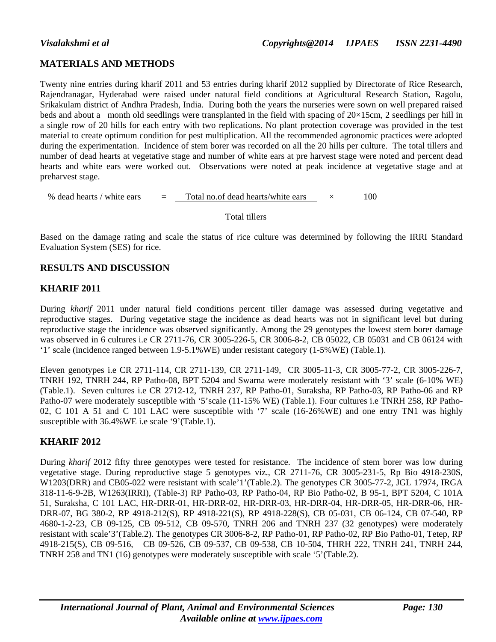## **MATERIALS AND METHODS**

Twenty nine entries during kharif 2011 and 53 entries during kharif 2012 supplied by Directorate of Rice Research, Rajendranagar, Hyderabad were raised under natural field conditions at Agricultural Research Station, Ragolu, Srikakulam district of Andhra Pradesh, India. During both the years the nurseries were sown on well prepared raised beds and about a month old seedlings were transplanted in the field with spacing of 20×15cm, 2 seedlings per hill in a single row of 20 hills for each entry with two replications. No plant protection coverage was provided in the test material to create optimum condition for pest multiplication. All the recommended agronomic practices were adopted during the experimentation. Incidence of stem borer was recorded on all the 20 hills per culture. The total tillers and number of dead hearts at vegetative stage and number of white ears at pre harvest stage were noted and percent dead hearts and white ears were worked out. Observations were noted at peak incidence at vegetative stage and at preharvest stage.

% dead hearts / white ears  $=$  Total no. of dead hearts/white ears  $\times$  100

#### Total tillers

Based on the damage rating and scale the status of rice culture was determined by following the IRRI Standard Evaluation System (SES) for rice.

## **RESULTS AND DISCUSSION**

## **KHARIF 2011**

During *kharif* 2011 under natural field conditions percent tiller damage was assessed during vegetative and reproductive stages. During vegetative stage the incidence as dead hearts was not in significant level but during reproductive stage the incidence was observed significantly. Among the 29 genotypes the lowest stem borer damage was observed in 6 cultures i.e CR 2711-76, CR 3005-226-5, CR 3006-8-2, CB 05022, CB 05031 and CB 06124 with '1' scale (incidence ranged between 1.9-5.1%WE) under resistant category (1-5%WE) (Table.1).

Eleven genotypes i.e CR 2711-114, CR 2711-139, CR 2711-149, CR 3005-11-3, CR 3005-77-2, CR 3005-226-7, TNRH 192, TNRH 244, RP Patho-08, BPT 5204 and Swarna were moderately resistant with '3' scale (6-10% WE) (Table.1). Seven cultures i.e CR 2712-12, TNRH 237, RP Patho-01, Suraksha, RP Patho-03, RP Patho-06 and RP Patho-07 were moderately susceptible with '5'scale (11-15% WE) (Table.1). Four cultures i.e TNRH 258, RP Patho-02, C 101 A 51 and C 101 LAC were susceptible with '7' scale (16-26%WE) and one entry TN1 was highly susceptible with 36.4%WE i.e scale '9'(Table.1).

## **KHARIF 2012**

During *kharif* 2012 fifty three genotypes were tested for resistance. The incidence of stem borer was low during vegetative stage. During reproductive stage 5 genotypes viz., CR 2711-76, CR 3005-231-5, Rp Bio 4918-230S, W1203(DRR) and CB05-022 were resistant with scale'1'(Table.2). The genotypes CR 3005-77-2, JGL 17974, IRGA 318-11-6-9-2B, W1263(IRRI), (Table-3) RP Patho-03, RP Patho-04, RP Bio Patho-02, B 95-1, BPT 5204, C 101A 51, Suraksha, C 101 LAC, HR-DRR-01, HR-DRR-02, HR-DRR-03, HR-DRR-04, HR-DRR-05, HR-DRR-06, HR-DRR-07, BG 380-2, RP 4918-212(S), RP 4918-221(S), RP 4918-228(S), CB 05-031, CB 06-124, CB 07-540, RP 4680-1-2-23, CB 09-125, CB 09-512, CB 09-570, TNRH 206 and TNRH 237 (32 genotypes) were moderately resistant with scale'3'(Table.2). The genotypes CR 3006-8-2, RP Patho-01, RP Patho-02, RP Bio Patho-01, Tetep, RP 4918-215(S), CB 09-516, CB 09-526, CB 09-537, CB 09-538, CB 10-504, THRH 222, TNRH 241, TNRH 244, TNRH 258 and TN1 (16) genotypes were moderately susceptible with scale '5'(Table.2).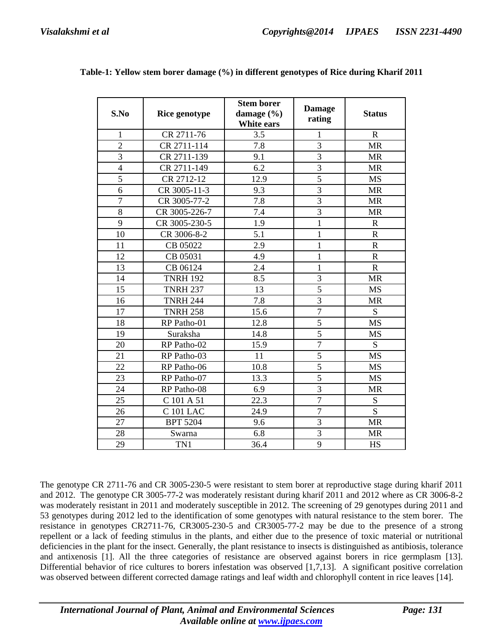| S.No           | <b>Rice genotype</b> | <b>Stem borer</b><br>damage (%)<br>White ears | <b>Damage</b><br>rating | <b>Status</b>  |
|----------------|----------------------|-----------------------------------------------|-------------------------|----------------|
| $\mathbf{1}$   | CR 2711-76           | 3.5                                           | 1                       | $\mathbf R$    |
| $\overline{2}$ | CR 2711-114          | 7.8                                           | $\overline{3}$          | <b>MR</b>      |
| $\overline{3}$ | CR 2711-139          | 9.1                                           | $\overline{3}$          | <b>MR</b>      |
| $\overline{4}$ | CR 2711-149          | 6.2                                           | $\overline{3}$          | <b>MR</b>      |
| 5              | CR 2712-12           | 12.9                                          | 5                       | <b>MS</b>      |
| $\overline{6}$ | CR 3005-11-3         | 9.3                                           | $\overline{3}$          | <b>MR</b>      |
| $\overline{7}$ | CR 3005-77-2         | 7.8                                           | 3                       | <b>MR</b>      |
| 8              | CR 3005-226-7        | 7.4                                           | $\overline{3}$          | <b>MR</b>      |
| 9              | CR 3005-230-5        | 1.9                                           | $\mathbf{1}$            | $\mathbf R$    |
| 10             | CR 3006-8-2          | 5.1                                           | $\mathbf 1$             | $\mathbf R$    |
| 11             | CB 05022             | 2.9                                           | $\mathbf 1$             | $\mathbf R$    |
| 12             | CB 05031             | 4.9                                           | $\mathbf{1}$            | $\mathbf R$    |
| 13             | CB 06124             | 2.4                                           | $\mathbf 1$             | $\mathbf R$    |
| 14             | <b>TNRH 192</b>      | 8.5                                           | $\overline{3}$          | <b>MR</b>      |
| 15             | <b>TNRH 237</b>      | 13                                            | 5                       | <b>MS</b>      |
| 16             | <b>TNRH 244</b>      | 7.8                                           | 3                       | <b>MR</b>      |
| 17             | <b>TNRH 258</b>      | 15.6                                          | $\overline{7}$          | S              |
| 18             | RP Patho-01          | 12.8                                          | 5                       | <b>MS</b>      |
| 19             | Suraksha             | 14.8                                          | 5                       | <b>MS</b>      |
| 20             | RP Patho-02          | 15.9                                          | $\overline{7}$          | S              |
| 21             | RP Patho-03          | 11                                            | 5                       | <b>MS</b>      |
| 22             | RP Patho-06          | 10.8                                          | $\overline{5}$          | <b>MS</b>      |
| 23             | RP Patho-07          | 13.3                                          | 5                       | <b>MS</b>      |
| 24             | RP Patho-08          | 6.9                                           | 3                       | <b>MR</b>      |
| 25             | C 101 A 51           | 22.3                                          | $\overline{7}$          | S              |
| 26             | <b>C</b> 101 LAC     | 24.9                                          | $\overline{7}$          | $\overline{S}$ |
| 27             | <b>BPT 5204</b>      | 9.6                                           | 3                       | <b>MR</b>      |
| 28             | Swarna               | 6.8                                           | 3                       | <b>MR</b>      |
| 29             | TN1                  | 36.4                                          | 9                       | <b>HS</b>      |

**Table-1: Yellow stem borer damage (%) in different genotypes of Rice during Kharif 2011** 

The genotype CR 2711-76 and CR 3005-230-5 were resistant to stem borer at reproductive stage during kharif 2011 and 2012. The genotype CR 3005-77-2 was moderately resistant during kharif 2011 and 2012 where as CR 3006-8-2 was moderately resistant in 2011 and moderately susceptible in 2012. The screening of 29 genotypes during 2011 and 53 genotypes during 2012 led to the identification of some genotypes with natural resistance to the stem borer. The resistance in genotypes CR2711-76, CR3005-230-5 and CR3005-77-2 may be due to the presence of a strong repellent or a lack of feeding stimulus in the plants, and either due to the presence of toxic material or nutritional deficiencies in the plant for the insect. Generally, the plant resistance to insects is distinguished as antibiosis, tolerance and antixenosis [1]. All the three categories of resistance are observed against borers in rice germplasm [13]. Differential behavior of rice cultures to borers infestation was observed [1,7,13]. A significant positive correlation was observed between different corrected damage ratings and leaf width and chlorophyll content in rice leaves [14].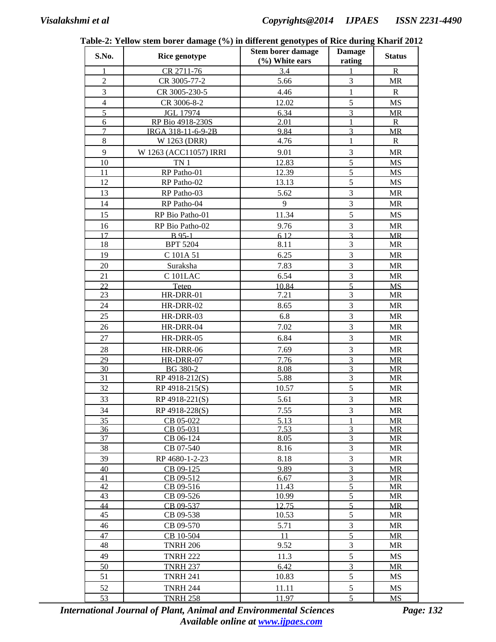| S.No.          | талк-2. тепом экспглогет данаде ( /0) нг ингегене genotypes от киее дигниз кнаги 201.<br>Rice genotype | <b>Stem borer damage</b><br>(%) White ears | <b>Damage</b><br>rating          | <b>Status</b>          |
|----------------|--------------------------------------------------------------------------------------------------------|--------------------------------------------|----------------------------------|------------------------|
|                | CR 2711-76                                                                                             | 3.4                                        |                                  | $\mathbf R$            |
| $\overline{2}$ | CR 3005-77-2                                                                                           | 5.66                                       | 3                                | MR                     |
| 3              | CR 3005-230-5                                                                                          | 4.46                                       | $\mathbf{1}$                     | $\mathbf R$            |
| $\overline{4}$ | CR 3006-8-2                                                                                            | 12.02                                      | 5                                | <b>MS</b>              |
| $\overline{5}$ | <b>JGL 17974</b>                                                                                       | 6.34                                       | $\overline{3}$                   | <b>MR</b>              |
| $\epsilon$     | RP Bio 4918-230S                                                                                       | 2.01                                       | 1                                | $\mathbf R$            |
| $\overline{7}$ | IRGA 318-11-6-9-2B                                                                                     | 9.84                                       | $\overline{3}$                   | <b>MR</b>              |
| $8\,$          | W 1263 (DRR)                                                                                           | 4.76                                       | $\mathbf{1}$                     | $\mathbf R$            |
| 9              | W 1263 (ACC11057) IRRI                                                                                 | 9.01                                       | 3                                | <b>MR</b>              |
| 10             | TN <sub>1</sub>                                                                                        | 12.83                                      | 5                                | <b>MS</b>              |
| 11             | RP Patho-01                                                                                            | 12.39                                      | $\overline{5}$                   | <b>MS</b>              |
| 12             | RP Patho-02                                                                                            | 13.13                                      | 5                                | <b>MS</b>              |
| 13             | RP Patho-03                                                                                            | 5.62                                       | $\overline{3}$                   | <b>MR</b>              |
| 14             | RP Patho-04                                                                                            | 9                                          | $\overline{\mathbf{3}}$          | <b>MR</b>              |
| 15             | RP Bio Patho-01                                                                                        | 11.34                                      | 5                                | <b>MS</b>              |
| 16             | RP Bio Patho-02                                                                                        | 9.76                                       | 3                                | <b>MR</b>              |
| 17             | <b>B</b> 95-1                                                                                          | 6.12                                       | $\overline{3}$                   | MR                     |
| 18             | <b>BPT 5204</b>                                                                                        | 8.11                                       | 3                                | <b>MR</b>              |
| 19             | C 101A 51                                                                                              | 6.25                                       | 3                                | <b>MR</b>              |
| 20             | Suraksha                                                                                               | 7.83                                       | $\overline{3}$                   | <b>MR</b>              |
| 21             | <b>C</b> 101LAC                                                                                        | 6.54                                       | $\overline{3}$                   | <b>MR</b>              |
| 22             | Teten                                                                                                  | 10.84                                      | $\overline{5}$                   | <b>MS</b>              |
| 23             | HR-DRR-01                                                                                              | 7.21                                       | 3                                | <b>MR</b>              |
| 24             | HR-DRR-02                                                                                              | 8.65                                       | $\overline{3}$                   | <b>MR</b>              |
| 25             | HR-DRR-03                                                                                              | 6.8                                        | $\overline{3}$                   | <b>MR</b>              |
| 26             | HR-DRR-04                                                                                              | 7.02                                       | 3                                | <b>MR</b>              |
| 27             | HR-DRR-05                                                                                              | 6.84                                       | 3                                | <b>MR</b>              |
| 28             | HR-DRR-06                                                                                              | 7.69                                       | $\overline{3}$                   | <b>MR</b>              |
| 29             | HR-DRR-07                                                                                              | 7.76                                       | $\overline{3}$                   | MR                     |
| 30             | BG 380-2                                                                                               | 8.08                                       | $\overline{3}$                   | <b>MR</b>              |
| 31             | RP 4918-212(S)                                                                                         | 5.88                                       | $\overline{3}$                   | <b>MR</b>              |
| 32             | RP 4918-215(S)                                                                                         | 10.57                                      | $\overline{5}$                   | <b>MR</b>              |
| 33             | RP 4918-221(S)                                                                                         | 5.61                                       | 3                                | <b>MR</b>              |
| 34             | RP 4918-228(S)                                                                                         | 7.55                                       | 3                                | MR                     |
| 35             | CB 05-022                                                                                              | 5.13                                       |                                  | <b>MR</b>              |
| 36             | CB 05-031                                                                                              | 7.53                                       | 3                                | <b>MR</b>              |
| 37             | CB 06-124                                                                                              | 8.05                                       | $\mathfrak{Z}$<br>$\mathfrak{Z}$ | MR                     |
| 38             | CB 07-540                                                                                              | 8.16                                       | 3                                | MR                     |
| 39<br>40       | RP 4680-1-2-23<br>CB 09-125                                                                            | 8.18<br>9.89                               | $\overline{3}$                   | <b>MR</b><br><b>MR</b> |
| 41             | CB 09-512                                                                                              | 6.67                                       | $\overline{3}$                   | <b>MR</b>              |
| 42             | CB 09-516                                                                                              | 11.43                                      | $\overline{5}$                   | MR                     |
| 43             | CB 09-526                                                                                              | 10.99                                      | $\overline{5}$                   | MR                     |
| 44             | CB 09-537                                                                                              | 12.75                                      | 5                                | <b>MR</b>              |
| 45             | CB 09-538                                                                                              | 10.53                                      | 5                                | MR                     |
| 46             | CB 09-570                                                                                              | 5.71                                       | $\overline{3}$                   | MR                     |
| 47             | CB 10-504                                                                                              | 11                                         | 5                                | <b>MR</b>              |
| 48             | <b>TNRH 206</b>                                                                                        | 9.52                                       | $\mathfrak{Z}$                   | MR                     |
| 49             | <b>TNRH 222</b>                                                                                        | 11.3                                       | 5                                | <b>MS</b>              |
| 50             | <b>TNRH 237</b>                                                                                        | 6.42                                       | $\overline{3}$                   | MR                     |
| 51             | <b>TNRH 241</b>                                                                                        | 10.83                                      | 5                                | MS                     |
| 52             | <b>TNRH 244</b>                                                                                        | 11.11                                      | 5                                | MS                     |
| 53             | <b>TNRH 258</b>                                                                                        | 11.97                                      | 5                                | MS                     |

**Table-2: Yellow stem borer damage (%) in different genotypes of Rice during Kharif 2012** 

*International Journal of Plant, Animal and Environmental Sciences Page: 132 Available online at www.ijpaes.com*